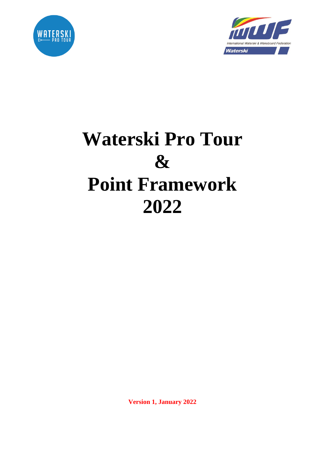



# **Waterski Pro Tour & Point Framework 2022**

**Version 1, January 2022**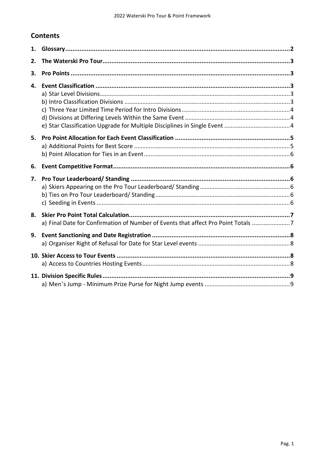# **Contents**

| 1. |                                                                                   |  |  |  |  |  |
|----|-----------------------------------------------------------------------------------|--|--|--|--|--|
| 2. |                                                                                   |  |  |  |  |  |
| 3. |                                                                                   |  |  |  |  |  |
| 4. |                                                                                   |  |  |  |  |  |
| 5. |                                                                                   |  |  |  |  |  |
| 6. |                                                                                   |  |  |  |  |  |
| 7. |                                                                                   |  |  |  |  |  |
| 8. | a) Final Date for Confirmation of Number of Events that affect Pro Point Totals 7 |  |  |  |  |  |
| 9. |                                                                                   |  |  |  |  |  |
|    |                                                                                   |  |  |  |  |  |
|    |                                                                                   |  |  |  |  |  |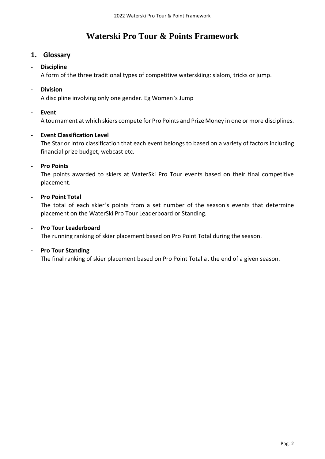# **Waterski Pro Tour & Points Framework**

# <span id="page-2-0"></span>**1. Glossary**

#### **- Discipline**

A form of the three traditional types of competitive waterskiing: slalom, tricks or jump.

#### **- Division**

A discipline involving only one gender. Eg Women's Jump

#### **- Event**

A tournament at which skiers compete for Pro Points and Prize Money in one or more disciplines.

#### **- Event Classification Level**

The Star or Intro classification that each event belongs to based on a variety of factors including financial prize budget, webcast etc.

#### **- Pro Points**

The points awarded to skiers at WaterSki Pro Tour events based on their final competitive placement.

#### **- Pro Point Total**

The total of each skier's points from a set number of the season's events that determine placement on the WaterSki Pro Tour Leaderboard or Standing.

## **- Pro Tour Leaderboard**

The running ranking of skier placement based on Pro Point Total during the season.

#### **- Pro Tour Standing**

The final ranking of skier placement based on Pro Point Total at the end of a given season.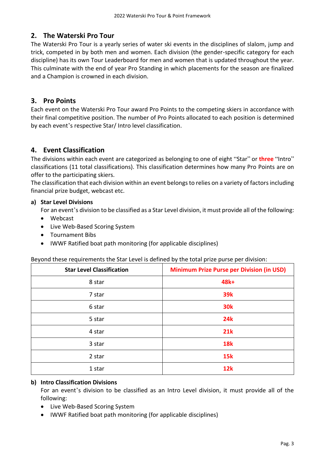# <span id="page-3-0"></span>**2. The Waterski Pro Tour**

The Waterski Pro Tour is a yearly series of water ski events in the disciplines of slalom, jump and trick, competed in by both men and women. Each division (the gender-specific category for each discipline) has its own Tour Leaderboard for men and women that is updated throughout the year. This culminate with the end of year Pro Standing in which placements for the season are finalized and a Champion is crowned in each division.

# <span id="page-3-1"></span>**3. Pro Points**

Each event on the Waterski Pro Tour award Pro Points to the competing skiers in accordance with their final competitive position. The number of Pro Points allocated to each position is determined by each event's respective Star/ Intro level classification.

# <span id="page-3-2"></span>**4. Event Classification**

The divisions within each event are categorized as belonging to one of eight "Star" or **three** "Intro" classifications (11 total classifications). This classification determines how many Pro Points are on offer to the participating skiers.

The classification that each division within an event belongs to relies on a variety of factors including financial prize budget, webcast etc.

#### <span id="page-3-3"></span>**a) Star Level Divisions**

For an event's division to be classified as a Star Level division, it must provide all of the following:

- Webcast
- Live Web-Based Scoring System
- Tournament Bibs
- IWWF Ratified boat path monitoring (for applicable disciplines)

#### Beyond these requirements the Star Level is defined by the total prize purse per division:

| <b>Star Level Classification</b> | <b>Minimum Prize Purse per Division (in USD)</b> |
|----------------------------------|--------------------------------------------------|
| 8 star                           | 48k+                                             |
| 7 star                           | 39k                                              |
| 6 star                           | <b>30k</b>                                       |
| 5 star                           | 24k                                              |
| 4 star                           | <b>21k</b>                                       |
| 3 star                           | <b>18k</b>                                       |
| 2 star                           | <b>15k</b>                                       |
| 1 star                           | 12k                                              |

#### <span id="page-3-4"></span>**b) Intro Classification Divisions**

For an event's division to be classified as an Intro Level division, it must provide all of the following:

- Live Web-Based Scoring System
- IWWF Ratified boat path monitoring (for applicable disciplines)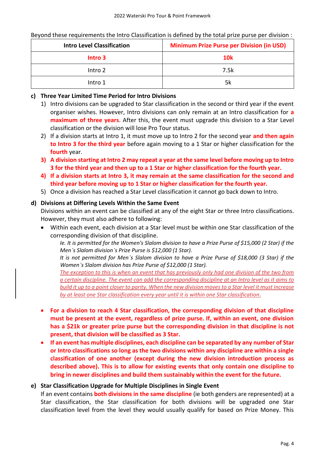Beyond these requirements the Intro Classification is defined by the total prize purse per division :

| <b>Intro Level Classification</b> | <b>Minimum Prize Purse per Division (in USD)</b> |
|-----------------------------------|--------------------------------------------------|
| Intro 3                           | <b>10k</b>                                       |
| Intro 2                           | 7.5k                                             |
| Intro 1                           | 5k                                               |

#### <span id="page-4-0"></span>**c) Three Year Limited Time Period for Intro Divisions**

- 1) Intro divisions can be upgraded to Star classification in the second or third year if the event organiser wishes. However, Intro divisions can only remain at an Intro classification for **a maximum of three years**. After this, the event must upgrade this division to a Star Level classification or the division will lose Pro Tour status.
- 2) If a division starts at Intro 1, it must move up to Intro 2 for the second year **and then again to Intro 3 for the third year** before again moving to a 1 Star or higher classification for the **fourth** year.
- **3) A division starting at Intro 2 may repeat a year at the same level before moving up to Intro 3 for the third year and then up to a 1 Star or higher classification for the fourth year.**
- **4) If a division starts at Intro 3, it may remain at the same classification for the second and third year before moving up to 1 Star or higher classification for the fourth year.**
- 5) Once a division has reached a Star Level classification it cannot go back down to Intro.

#### <span id="page-4-1"></span>**d) Divisions at Differing Levels Within the Same Event**

Divisions within an event can be classified at any of the eight Star or three Intro classifications. However, they must also adhere to following:

• Within each event, each division at a Star level must be within one Star classification of the corresponding division of that discipline.

*Ie. It is permitted for the Women's Slalom division to have a Prize Purse of \$15,000 (2 Star) if the Men's Slalom division's Prize Purse is \$12,000 (1 Star).*

*It is not permitted for Men's Slalom division to have a Prize Purse of \$18,000 (3 Star) if the Women's Slalom division has Prize Purse of \$12,000 (1 Star).*

*The exception to this is when an event that has previously only had one division of the two from a certain discipline. The event can add the corresponding discipline at an Intro level as it aims to build it up to a point closer to parity. When the new division moves to a Star level it must increase by at least one Star classification every year until it is within one Star classification*.

- **For a division to reach 4 Star classification, the corresponding division of that discipline must be present at the event, regardless of prize purse. If, within an event, one division has a \$21k or greater prize purse but the corresponding division in that discipline is not present, that division will be classified as 3 Star.**
- **If an event has multiple disciplines, each discipline can be separated by any number of Star or Intro classifications so long as the two divisions within any discipline are within a single classification of one another (except during the new division introduction process as described above). This is to allow for existing events that only contain one discipline to bring in newer disciplines and build them sustainably within the event for the future.**

#### <span id="page-4-2"></span>**e) Star Classification Upgrade for Multiple Disciplines in Single Event**

If an event contains **both divisions in the same discipline** (ie both genders are represented) at a Star classification, the Star classification for both divisions will be upgraded one Star classification level from the level they would usually qualify for based on Prize Money. This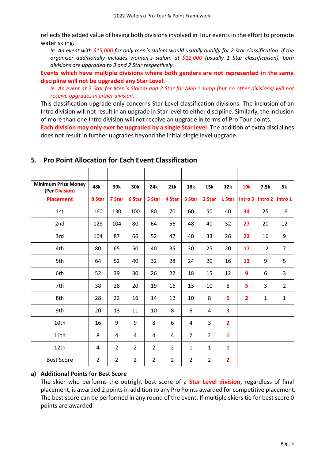reflects the added value of having both divisions involved in Tour events in the effort to promote water skiing.

*Ie. An event with \$15,000 for only men's slalom would usually qualify for 2 Star classification. If the organiser additionally includes women's slalom at \$12,000 (usually 1 Star classification), both divisions are upgraded to 3 and 2 Star respectively.*

**Events which have multiple divisions where both genders are not represented in the same discipline will not be upgraded any Star Level.**

*Ie. An event at 2 Star for Men's Slalom and 2 Star for Men's Jump (but no other divisions) will not receive upgrades in either division.*

This classification upgrade only concerns Star Level classification divisions. The inclusion of an Intro division will not result in an upgrade in Star level to either discipline. Similarly, the inclusion of more than one Intro division will not receive an upgrade in terms of Pro Tour points.

**Each division may only ever be upgraded by a single Star level**. The addition of extra disciplines does not result in further upgrades beyond the initial single level upgrade.

| <b>Minimum Prize Money</b><br>(Per Division) | 48k+           | 39k            | 30k            | 24k            | 21k            | <b>18k</b>     | 15k            | 12k            | <b>10k</b>     | 7.5k               | 5k             |
|----------------------------------------------|----------------|----------------|----------------|----------------|----------------|----------------|----------------|----------------|----------------|--------------------|----------------|
| <b>Placement</b>                             | 8 Star         | 7 Star         | 6 Star         | 5 Star         | 4 Star         | 3 Star         | 2 Star         | 1 Star         | Intro 3        | Intro <sub>2</sub> | Intro 1        |
| 1st                                          | 160            | 130            | 100            | 80             | 70             | 60             | 50             | 40             | 34             | 25                 | 16             |
| 2nd                                          | 128            | 104            | 80             | 64             | 56             | 48             | 40             | 32             | 27             | 20                 | 12             |
| 3rd                                          | 104            | 87             | 66             | 52             | 47             | 40             | 33             | 26             | 22             | 16                 | 9              |
| 4th                                          | 80             | 65             | 50             | 40             | 35             | 30             | 25             | 20             | 17             | 12                 | $\overline{7}$ |
| 5th                                          | 64             | 52             | 40             | 32             | 28             | 24             | 20             | 16             | 13             | 9                  | 5              |
| 6th                                          | 52             | 39             | 30             | 26             | 22             | 18             | 15             | 12             | 9              | 6                  | 3              |
| 7th                                          | 38             | 28             | 20             | 19             | 16             | 13             | 10             | 8              | 5              | 3                  | $\overline{2}$ |
| 8th                                          | 28             | 22             | 16             | 14             | 12             | 10             | 8              | 5              | $\overline{2}$ | $\mathbf{1}$       | $\mathbf{1}$   |
| 9th                                          | 20             | 13             | 11             | 10             | 8              | 6              | 4              | 3              |                |                    |                |
| 10th                                         | 16             | 9              | 9              | 8              | 6              | 4              | 3              | $\overline{2}$ |                |                    |                |
| 11th                                         | 8              | 4              | 4              | 4              | 4              | $\overline{2}$ | $\overline{2}$ | $\mathbf{1}$   |                |                    |                |
| 12th                                         | 4              | $\overline{2}$ | $\overline{2}$ | $\overline{2}$ | $\overline{2}$ | $\mathbf{1}$   | $\mathbf{1}$   | $\mathbf{1}$   |                |                    |                |
| <b>Best Score</b>                            | $\overline{2}$ | $\overline{2}$ | $\overline{2}$ | $\overline{2}$ | $\overline{2}$ | $\overline{2}$ | $\overline{2}$ | $\overline{2}$ |                |                    |                |

# <span id="page-5-0"></span>**5. Pro Point Allocation for Each Event Classification**

#### <span id="page-5-1"></span>**a) Additional Points for Best Score**

The skier who performs the outright best score of a **Star Level division**, regardless of final placement, is awarded 2 points in addition to any Pro Points awarded for competitive placement. The best score can be performed in any round of the event. If multiple skiers tie for best score 0 points are awarded.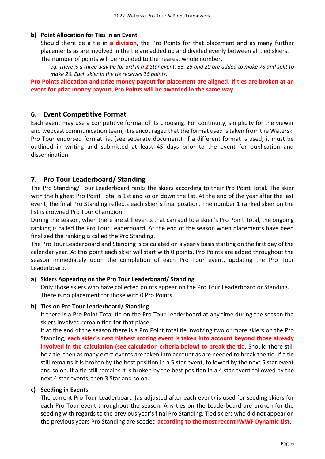#### <span id="page-6-0"></span>**b) Point Allocation for Ties in an Event**

Should there be a tie in **a division**, the Pro Points for that placement and as many further placements as are involved in the tie are added up and divided evenly between all tied skiers.

The number of points will be rounded to the nearest whole number.

*eg. There is a three way tie for 3rd in a 2 Star event. 33, 25 and 20 are added to make 78 and split to make 26. Each skier in the tie receives 26 points.*

**Pro Points allocation and prize money payout for placement are aligned. If ties are broken at an event for prize money payout, Pro Points will be awarded in the same way.**

#### <span id="page-6-1"></span>**6. Event Competitive Format**

Each event may use a competitive format of its choosing. For continuity, simplicity for the viewer and webcast communication team, it is encouraged that the format used is taken from the Waterski Pro Tour endorsed format list (see separate document). If a different format is used, it must be outlined in writing and submitted at least 45 days prior to the event for publication and dissemination.

#### <span id="page-6-2"></span>**7. Pro Tour Leaderboard/ Standing**

The Pro Standing/ Tour Leaderboard ranks the skiers according to their Pro Point Total. The skier with the highest Pro Point Total is 1st and so on down the list. At the end of the year after the last event, the final Pro Standing reflects each skier's final position. The number 1 ranked skier on the list is crowned Pro Tour Champion.

During the season, when there are still events that can add to a skier's Pro Point Total, the ongoing ranking is called the Pro Tour Leaderboard. At the end of the season when placements have been finalized the ranking is called the Pro Standing.

The Pro Tour Leaderboard and Standing is calculated on a yearly basis starting on the first day of the calendar year. At this point each skier will start with 0 points. Pro Points are added throughout the season immediately upon the completion of each Pro Tour event, updating the Pro Tour Leaderboard.

#### <span id="page-6-3"></span>**a) Skiers Appearing on the Pro Tour Leaderboard/ Standing**

Only those skiers who have collected points appear on the Pro Tour Leaderboard or Standing. There is no placement for those with 0 Pro Points.

#### <span id="page-6-4"></span>**b) Ties on Pro Tour Leaderboard/ Standing**

If there is a Pro Point Total tie on the Pro Tour Leaderboard at any time during the season the skiers involved remain tied for that place.

If at the end of the season there is a Pro Point total tie involving two or more skiers on the Pro Standing, **each skier's next highest scoring event is taken into account beyond those already involved in the calculation (see calculation criteria below) to break the tie**. Should there still be a tie, then as many extra events are taken into account as are needed to break the tie. If a tie still remains it is broken by the best position in a 5 star event, followed by the next 5 star event and so on. If a tie still remains it is broken by the best position in a 4 star event followed by the next 4 star events, then 3 Star and so on.

#### <span id="page-6-5"></span>**c) Seeding in Events**

The current Pro Tour Leaderboard (as adjusted after each event) is used for seeding skiers for each Pro Tour event throughout the season. Any ties on the Leaderboard are broken for the seeding with regards to the previous year's final Pro Standing. Tied skiers who did not appear on the previous years Pro Standing are seeded **according to the most recent IWWF Dynamic List**.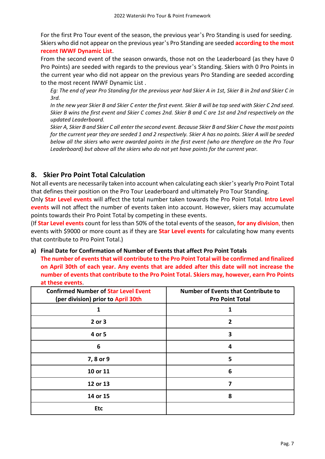For the first Pro Tour event of the season, the previous year's Pro Standing is used for seeding. Skiers who did not appear on the previous year's Pro Standing are seeded **according to the most recent IWWF Dynamic List**.

From the second event of the season onwards, those not on the Leaderboard (as they have 0 Pro Points) are seeded with regards to the previous year's Standing. Skiers with 0 Pro Points in the current year who did not appear on the previous years Pro Standing are seeded according to the most recent IWWF Dynamic List .

*Eg: The end of year Pro Standing for the previous year had Skier A in 1st, Skier B in 2nd and Skier C in 3rd.*

*In the new year Skier B and Skier C enter the first event. Skier B will be top seed with Skier C 2nd seed. Skier B wins the first event and Skier C comes 2nd. Skier B and C are 1st and 2nd respectively on the updated Leaderboard.*

*Skier A, Skier B and Skier C all enter the second event. Because Skier B and Skier C have the most points for the current year they are seeded 1 and 2 respectively. Skier A has no points. Skier A will be seeded below all the skiers who were awarded points in the first event (who are therefore on the Pro Tour Leaderboard) but above all the skiers who do not yet have points for the current year.*

# <span id="page-7-0"></span>**8. Skier Pro Point Total Calculation**

Not all events are necessarily taken into account when calculating each skier's yearly Pro Point Total that defines their position on the Pro Tour Leaderboard and ultimately Pro Tour Standing.

Only **Star Level events** will affect the total number taken towards the Pro Point Total. **Intro Level events** will not affect the number of events taken into account. However, skiers may accumulate points towards their Pro Point Total by competing in these events.

(If **Star Level events** count for less than 50% of the total events of the season, **for any division**, then events with \$9000 or more count as if they are **Star Level events** for calculating how many events that contribute to Pro Point Total.)

#### <span id="page-7-1"></span>**a) Final Date for Confirmation of Number of Events that affect Pro Point Totals**

**The number of events that will contribute to the Pro Point Total will be confirmed and finalized on April 30th of each year. Any events that are added after this date will not increase the number of events that contribute to the Pro Point Total. Skiers may, however, earn Pro Points at these events**.

| <b>Confirmed Number of Star Level Event</b><br>(per division) prior to April 30th | <b>Number of Events that Contribute to</b><br><b>Pro Point Total</b> |
|-----------------------------------------------------------------------------------|----------------------------------------------------------------------|
| 1                                                                                 | 1                                                                    |
| 2 or 3                                                                            | 2                                                                    |
| 4 or 5                                                                            | 3                                                                    |
| 6                                                                                 | 4                                                                    |
| 7,8 or 9                                                                          | 5                                                                    |
| 10 or 11                                                                          | 6                                                                    |
| 12 or 13                                                                          | 7                                                                    |
| 14 or 15                                                                          | 8                                                                    |
| <b>Etc</b>                                                                        |                                                                      |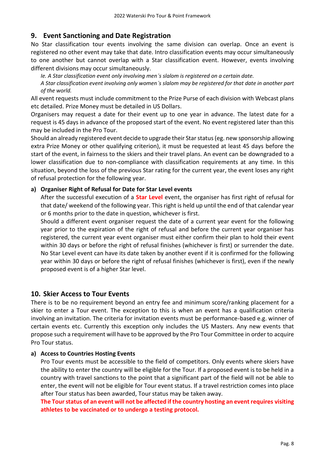# <span id="page-8-0"></span>**9. Event Sanctioning and Date Registration**

No Star classification tour events involving the same division can overlap. Once an event is registered no other event may take that date. Intro classification events may occur simultaneously to one another but cannot overlap with a Star classification event. However, events involving different divisions may occur simultaneously.

*Ie. A Star classification event only involving men's slalom is registered on a certain date.*

*A Star classification event involving only women's slalom may be registered for that date in another part of the world.*

All event requests must include commitment to the Prize Purse of each division with Webcast plans etc detailed. Prize Money must be detailed in US Dollars.

Organisers may request a date for their event up to one year in advance. The latest date for a request is 45 days in advance of the proposed start of the event. No event registered later than this may be included in the Pro Tour.

Should an already registered event decide to upgrade their Star status (eg. new sponsorship allowing extra Prize Money or other qualifying criterion), it must be requested at least 45 days before the start of the event, in fairness to the skiers and their travel plans. An event can be downgraded to a lower classification due to non-compliance with classification requirements at any time. In this situation, beyond the loss of the previous Star rating for the current year, the event loses any right of refusal protection for the following year.

#### <span id="page-8-1"></span>**a) Organiser Right of Refusal for Date for Star Level events**

After the successful execution of a **Star Level** event, the organiser has first right of refusal for that date/ weekend of the following year. This right is held up until the end of that calendar year or 6 months prior to the date in question, whichever is first.

Should a different event organiser request the date of a current year event for the following year prior to the expiration of the right of refusal and before the current year organiser has registered, the current year event organiser must either confirm their plan to hold their event within 30 days or before the right of refusal finishes (whichever is first) or surrender the date. No Star Level event can have its date taken by another event if it is confirmed for the following year within 30 days or before the right of refusal finishes (whichever is first), even if the newly proposed event is of a higher Star level.

# <span id="page-8-2"></span>**10. Skier Access to Tour Events**

There is to be no requirement beyond an entry fee and minimum score/ranking placement for a skier to enter a Tour event. The exception to this is when an event has a qualification criteria involving an invitation. The criteria for invitation events must be performance-based e.g. winner of certain events etc. Currently this exception only includes the US Masters. Any new events that propose such a requirement will have to be approved by the Pro Tour Committee in order to acquire Pro Tour status.

#### <span id="page-8-3"></span>**a) Access to Countries Hosting Events**

Pro Tour events must be accessible to the field of competitors. Only events where skiers have the ability to enter the country will be eligible for the Tour. If a proposed event is to be held in a country with travel sanctions to the point that a significant part of the field will not be able to enter, the event will not be eligible for Tour event status. If a travel restriction comes into place after Tour status has been awarded, Tour status may be taken away.

**The Tour status of an event will not be affected if the country hosting an event requires visiting athletes to be vaccinated or to undergo a testing protocol.**